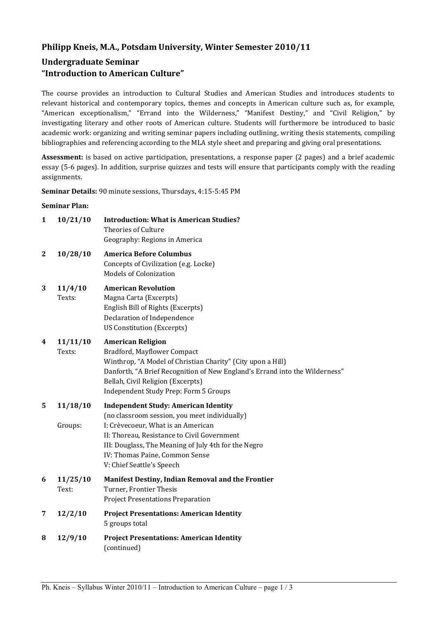## **Philipp Kneis, M.A., Potsdam University, Winter Semester 2010/11**

# **Undergraduate Seminar "Introduction to American Culture"**

The course provides an introduction to Cultural Studies and American Studies and introduces students to relevant historical and contemporary topics, themes and concepts in American culture such as, for example, "American exceptionalism," "Errand into the Wilderness," "Manifest Destiny," and "Civil Religion," by investigating literary and other roots of American culture. Students will furthermore be introduced to basic academic work: organizing and writing seminar papers including outlining, writing thesis statements, compiling bibliographies and referencing according to the MLA style sheet and preparing and giving oral presentations.

**Assessment:** is based on active participation, presentations, a response paper (2 pages) and a brief academic essay (5-6 pages). In addition, surprise quizzes and tests will ensure that participants comply with the reading assignments.

**Seminar Details:** 90 minute sessions, Thursdays, 4:15-5:45 PM

#### **Seminar Plan:**

| $\mathbf{1}$ | 10/21/10            | <b>Introduction: What is American Studies?</b><br><b>Theories of Culture</b><br>Geography: Regions in America                                                                                                                                                                                            |  |
|--------------|---------------------|----------------------------------------------------------------------------------------------------------------------------------------------------------------------------------------------------------------------------------------------------------------------------------------------------------|--|
| $\mathbf{2}$ | 10/28/10            | <b>America Before Columbus</b><br>Concepts of Civilization (e.g. Locke)<br><b>Models of Colonization</b>                                                                                                                                                                                                 |  |
| 3            | 11/4/10<br>Texts:   | <b>American Revolution</b><br>Magna Carta (Excerpts)<br>English Bill of Rights (Excerpts)<br>Declaration of Independence<br><b>US Constitution (Excerpts)</b>                                                                                                                                            |  |
| 4            | 11/11/10<br>Texts:  | <b>American Religion</b><br>Bradford, Mayflower Compact<br>Winthrop, "A Model of Christian Charity" (City upon a Hill)<br>Danforth, "A Brief Recognition of New England's Errand into the Wilderness"<br>Bellah, Civil Religion (Excerpts)<br>Independent Study Prep: Form 5 Groups                      |  |
| 5            | 11/18/10<br>Groups: | <b>Independent Study: American Identity</b><br>(no classroom session, you meet individually)<br>I: Crèvecoeur, What is an American<br>II: Thoreau, Resistance to Civil Government<br>III: Douglass, The Meaning of July 4th for the Negro<br>IV: Thomas Paine, Common Sense<br>V: Chief Seattle's Speech |  |
| 6            | 11/25/10<br>Text:   | Manifest Destiny, Indian Removal and the Frontier<br>Turner, Frontier Thesis<br><b>Project Presentations Preparation</b>                                                                                                                                                                                 |  |
| 7            | 12/2/10             | <b>Project Presentations: American Identity</b><br>5 groups total                                                                                                                                                                                                                                        |  |
| 8            | 12/9/10             | <b>Project Presentations: American Identity</b><br>(continued)                                                                                                                                                                                                                                           |  |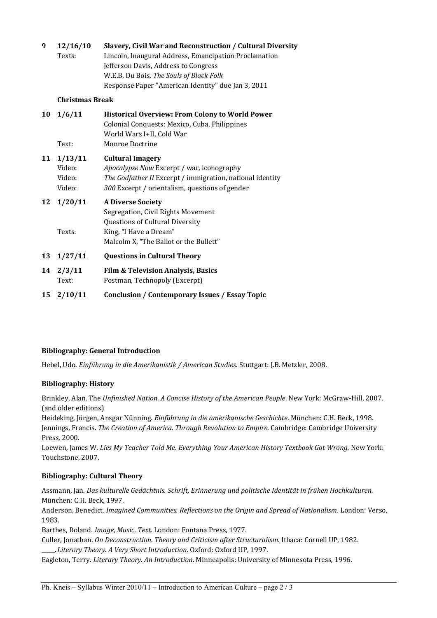#### **9 12/16/10 Slavery, Civil War and Reconstruction / Cultural Diversity**

Texts: Lincoln, Inaugural Address, Emancipation Proclamation Jefferson Davis, Address to Congress W.E.B. Du Bois, *The Souls of Black Folk* Response Paper "American Identity" due Jan 3, 2011

#### **Christmas Break**

| 10 | 1/6/11                                | <b>Historical Overview: From Colony to World Power</b><br>Colonial Conquests: Mexico, Cuba, Philippines<br>World Wars I+II, Cold War                                                       |
|----|---------------------------------------|--------------------------------------------------------------------------------------------------------------------------------------------------------------------------------------------|
|    | Text:                                 | Monroe Doctrine                                                                                                                                                                            |
| 11 | 1/13/11<br>Video:<br>Video:<br>Video: | <b>Cultural Imagery</b><br><i>Apocalypse Now Excerpt / war, iconography</i><br>The Godfather II Excerpt / immigration, national identity<br>300 Excerpt / orientalism, questions of gender |
| 12 | 1/20/11                               | <b>A Diverse Society</b><br>Segregation, Civil Rights Movement<br><b>Questions of Cultural Diversity</b>                                                                                   |
|    | Texts:                                | King, "I Have a Dream"<br>Malcolm X, "The Ballot or the Bullett"                                                                                                                           |
| 13 | 1/27/11                               | <b>Questions in Cultural Theory</b>                                                                                                                                                        |
|    | $14 \t2/3/11$<br>Text:                | <b>Film &amp; Television Analysis, Basics</b><br>Postman, Technopoly (Excerpt)                                                                                                             |
|    | $15 \t2/10/11$                        | <b>Conclusion / Contemporary Issues / Essay Topic</b>                                                                                                                                      |
|    |                                       |                                                                                                                                                                                            |

#### **Bibliography: General Introduction**

Hebel, Udo. *Einführung in die Amerikanistik / American Studies*. Stuttgart: J.B. Metzler, 2008.

## **Bibliography: History**

Brinkley, Alan. The *Unfinished Nation. A Concise History of the American People*. New York: McGraw-Hill, 2007. (and older editions)

Heideking, Jürgen, Ansgar Nünning. *Einführung in die amerikanische Geschichte*. München: C.H. Beck, 1998. Jennings, Francis. *The Creation of America. Through Revolution to Empire.* Cambridge: Cambridge University Press, 2000.

Loewen, James W. *Lies My Teacher Told Me*. *Everything Your American History Textbook Got Wrong.* New York: Touchstone, 2007.

#### **Bibliography: Cultural Theory**

Assmann, Jan. *Das kulturelle Gedächtnis. Schrift, Erinnerung und politische Identität in frühen Hochkulturen.* München: C.H. Beck, 1997.

Anderson, Benedict. *Imagined Communities. Reflections on the Origin and Spread of Nationalism.* London: Verso, 1983.

Barthes, Roland. *Image, Music, Text.* London: Fontana Press, 1977.

Culler, Jonathan. *On Deconstruction. Theory and Criticism after Structuralism.* Ithaca: Cornell UP, 1982. \_\_\_\_\_.*Literary Theory. A Very Short Introduction.* Oxford: Oxford UP, 1997.

Eagleton, Terry. *Literary Theory. An Introduction*. Minneapolis: University of Minnesota Press, 1996.